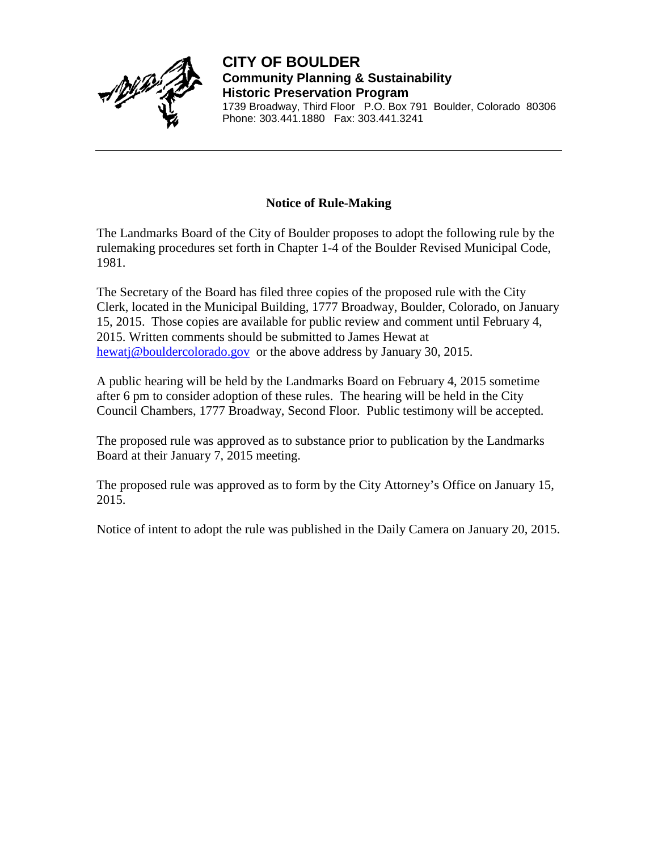

**CITY OF BOULDER Community Planning & Sustainability Historic Preservation Program** 1739 Broadway, Third Floor P.O. Box 791 Boulder, Colorado 80306 Phone: 303.441.1880 Fax: 303.441.3241

## **Notice of Rule-Making**

The Landmarks Board of the City of Boulder proposes to adopt the following rule by the rulemaking procedures set forth in Chapter 1-4 of the Boulder Revised Municipal Code, 1981.

The Secretary of the Board has filed three copies of the proposed rule with the City Clerk, located in the Municipal Building, 1777 Broadway, Boulder, Colorado, on January 15, 2015. Those copies are available for public review and comment until February 4, 2015. Written comments should be submitted to James Hewat at [hewatj@bouldercolorado.gov](mailto:Hewatj@bouldercolorado.gov) or the above address by January 30, 2015.

A public hearing will be held by the Landmarks Board on February 4, 2015 sometime after 6 pm to consider adoption of these rules. The hearing will be held in the City Council Chambers, 1777 Broadway, Second Floor. Public testimony will be accepted.

The proposed rule was approved as to substance prior to publication by the Landmarks Board at their January 7, 2015 meeting.

The proposed rule was approved as to form by the City Attorney's Office on January 15, 2015.

Notice of intent to adopt the rule was published in the Daily Camera on January 20, 2015.